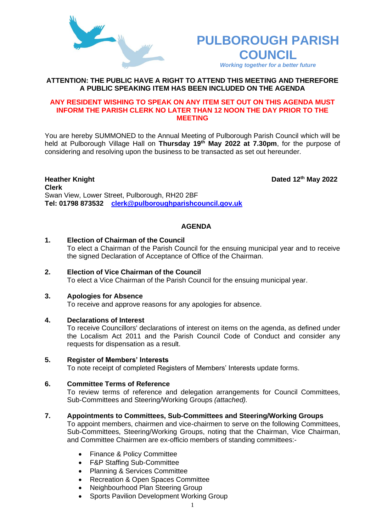

# **PULBOROUGH PARISH COUNCIL**

*Working together for a better future*

**th May 2022**

# **ATTENTION: THE PUBLIC HAVE A RIGHT TO ATTEND THIS MEETING AND THEREFORE A PUBLIC SPEAKING ITEM HAS BEEN INCLUDED ON THE AGENDA**

### **ANY RESIDENT WISHING TO SPEAK ON ANY ITEM SET OUT ON THIS AGENDA MUST INFORM THE PARISH CLERK NO LATER THAN 12 NOON THE DAY PRIOR TO THE MEETING**

You are hereby SUMMONED to the Annual Meeting of Pulborough Parish Council which will be held at Pulborough Village Hall on **Thursday 19th May 2022 at 7.30pm**, for the purpose of considering and resolving upon the business to be transacted as set out hereunder.

**Heather Knight Clerk**  Swan View, Lower Street, Pulborough, RH20 2BF **Tel: 01798 873532 [clerk@pulboroughparishcouncil.gov.uk](mailto:clerk@pulboroughparishcouncil.gov.uk)**

### **AGENDA**

### **1. Election of Chairman of the Council**

To elect a Chairman of the Parish Council for the ensuing municipal year and to receive the signed Declaration of Acceptance of Office of the Chairman.

**2. Election of Vice Chairman of the Council** To elect a Vice Chairman of the Parish Council for the ensuing municipal year.

#### **3. Apologies for Absence**

To receive and approve reasons for any apologies for absence.

#### **4. Declarations of Interest**

To receive Councillors' declarations of interest on items on the agenda, as defined under the Localism Act 2011 and the Parish Council Code of Conduct and consider any requests for dispensation as a result.

#### **5. Register of Members' Interests**

To note receipt of completed Registers of Members' Interests update forms.

## **6. Committee Terms of Reference**

To review terms of reference and delegation arrangements for Council Committees, Sub-Committees and Steering/Working Groups *(attached).*

#### **7. Appointments to Committees, Sub-Committees and Steering/Working Groups**

To appoint members, chairmen and vice-chairmen to serve on the following Committees, Sub-Committees, Steering/Working Groups, noting that the Chairman, Vice Chairman, and Committee Chairmen are ex-officio members of standing committees:-

- Finance & Policy Committee
- F&P Staffing Sub-Committee
- Planning & Services Committee
- Recreation & Open Spaces Committee
- Neighbourhood Plan Steering Group
- Sports Pavilion Development Working Group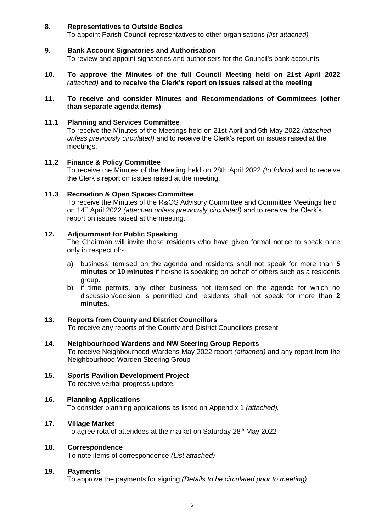## **8. Representatives to Outside Bodies**

To appoint Parish Council representatives to other organisations *(list attached)*

## **9. Bank Account Signatories and Authorisation**

To review and appoint signatories and authorisers for the Council's bank accounts

- **10. To approve the Minutes of the full Council Meeting held on 21st April 2022**  *(attached)* **and to receive the Clerk's report on issues raised at the meeting**
- **11. To receive and consider Minutes and Recommendations of Committees (other than separate agenda items)**

# **11.1 Planning and Services Committee**

To receive the Minutes of the Meetings held on 21st April and 5th May 2022 *(attached unless previously circulated)* and to receive the Clerk's report on issues raised at the meetings.

### **11.2 Finance & Policy Committee**

To receive the Minutes of the Meeting held on 28th April 2022 *(to follow)* and to receive the Clerk's report on issues raised at the meeting.

### **11.3 Recreation & Open Spaces Committee**

To receive the Minutes of the R&OS Advisory Committee and Committee Meetings held on 14th April 2022 *(attached unless previously circulated)* and to receive the Clerk's report on issues raised at the meeting.

# **12. Adjournment for Public Speaking**

The Chairman will invite those residents who have given formal notice to speak once only in respect of:-

- a) business itemised on the agenda and residents shall not speak for more than **5 minutes** or **10 minutes** if he/she is speaking on behalf of others such as a residents group.
- b) if time permits, any other business not itemised on the agenda for which no discussion/decision is permitted and residents shall not speak for more than **2 minutes.**

# **13. Reports from County and District Councillors**

To receive any reports of the County and District Councillors present

## **14. Neighbourhood Wardens and NW Steering Group Reports**

To receive Neighbourhood Wardens May 2022 report *(attached)* and any report from the Neighbourhood Warden Steering Group

**15. Sports Pavilion Development Project** To receive verbal progress update.

# **16. Planning Applications**

To consider planning applications as listed on Appendix 1 *(attached).*

# **17. Village Market**

To agree rota of attendees at the market on Saturday 28<sup>th</sup> May 2022

#### **18. Correspondence**

To note items of correspondence *(List attached)*

#### **19. Payments**

To approve the payments for signing *(Details to be circulated prior to meeting)*